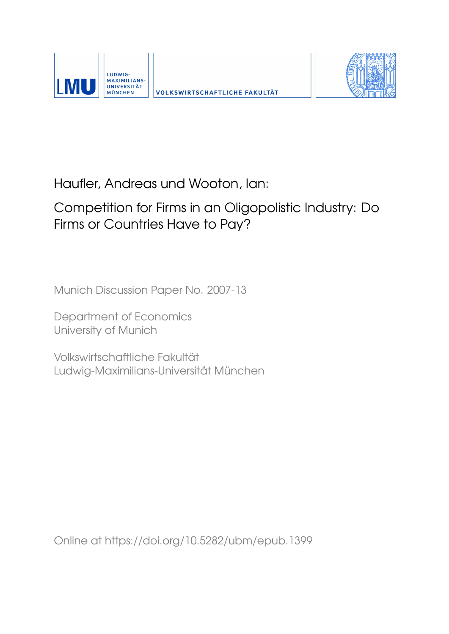



# Haufler, Andreas und Wooton, Ian:

# Competition for Firms in an Oligopolistic Industry: Do Firms or Countries Have to Pay?

Munich Discussion Paper No. 2007-13

Department of Economics University of Munich

Volkswirtschaftliche Fakultät Ludwig-Maximilians-Universität München

Online at https://doi.org/10.5282/ubm/epub.1399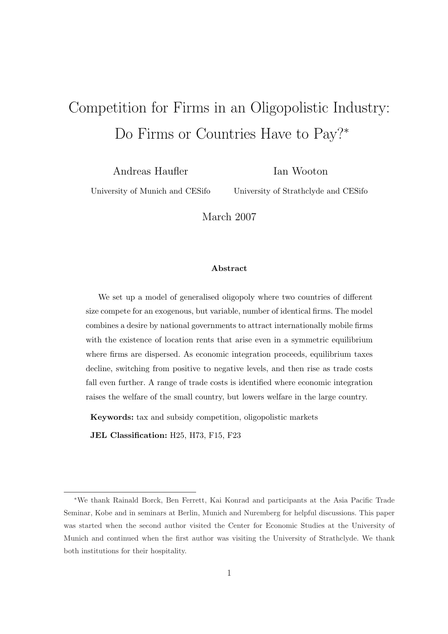# Competition for Firms in an Oligopolistic Industry: Do Firms or Countries Have to Pay?<sup>∗</sup>

Andreas Haufler

Ian Wooton

University of Munich and CESifo

University of Strathclyde and CESifo

March 2007

#### Abstract

We set up a model of generalised oligopoly where two countries of different size compete for an exogenous, but variable, number of identical firms. The model combines a desire by national governments to attract internationally mobile firms with the existence of location rents that arise even in a symmetric equilibrium where firms are dispersed. As economic integration proceeds, equilibrium taxes decline, switching from positive to negative levels, and then rise as trade costs fall even further. A range of trade costs is identified where economic integration raises the welfare of the small country, but lowers welfare in the large country.

Keywords: tax and subsidy competition, oligopolistic markets

JEL Classification: H25, H73, F15, F23

<sup>∗</sup>We thank Rainald Borck, Ben Ferrett, Kai Konrad and participants at the Asia Pacific Trade Seminar, Kobe and in seminars at Berlin, Munich and Nuremberg for helpful discussions. This paper was started when the second author visited the Center for Economic Studies at the University of Munich and continued when the first author was visiting the University of Strathclyde. We thank both institutions for their hospitality.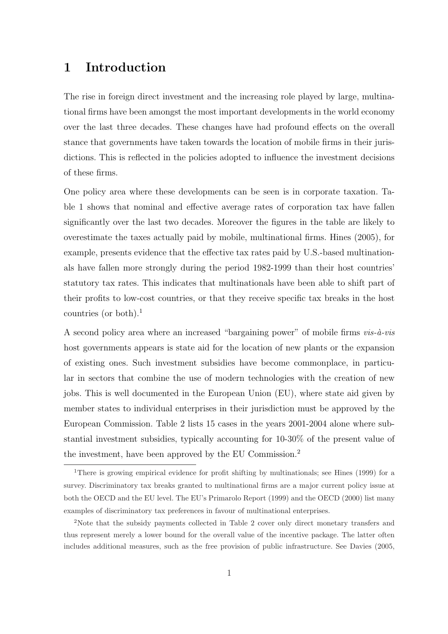## 1 Introduction

The rise in foreign direct investment and the increasing role played by large, multinational firms have been amongst the most important developments in the world economy over the last three decades. These changes have had profound effects on the overall stance that governments have taken towards the location of mobile firms in their jurisdictions. This is reflected in the policies adopted to influence the investment decisions of these firms.

One policy area where these developments can be seen is in corporate taxation. Table 1 shows that nominal and effective average rates of corporation tax have fallen significantly over the last two decades. Moreover the figures in the table are likely to overestimate the taxes actually paid by mobile, multinational firms. Hines (2005), for example, presents evidence that the effective tax rates paid by U.S.-based multinationals have fallen more strongly during the period 1982-1999 than their host countries' statutory tax rates. This indicates that multinationals have been able to shift part of their profits to low-cost countries, or that they receive specific tax breaks in the host countries (or both).<sup>1</sup>

A second policy area where an increased "bargaining power" of mobile firms  $vis-\hat{a}-vis$ host governments appears is state aid for the location of new plants or the expansion of existing ones. Such investment subsidies have become commonplace, in particular in sectors that combine the use of modern technologies with the creation of new jobs. This is well documented in the European Union (EU), where state aid given by member states to individual enterprises in their jurisdiction must be approved by the European Commission. Table 2 lists 15 cases in the years 2001-2004 alone where substantial investment subsidies, typically accounting for 10-30% of the present value of the investment, have been approved by the EU Commission.<sup>2</sup>

<sup>1</sup>There is growing empirical evidence for profit shifting by multinationals; see Hines (1999) for a survey. Discriminatory tax breaks granted to multinational firms are a major current policy issue at both the OECD and the EU level. The EU's Primarolo Report (1999) and the OECD (2000) list many examples of discriminatory tax preferences in favour of multinational enterprises.

<sup>2</sup>Note that the subsidy payments collected in Table 2 cover only direct monetary transfers and thus represent merely a lower bound for the overall value of the incentive package. The latter often includes additional measures, such as the free provision of public infrastructure. See Davies (2005,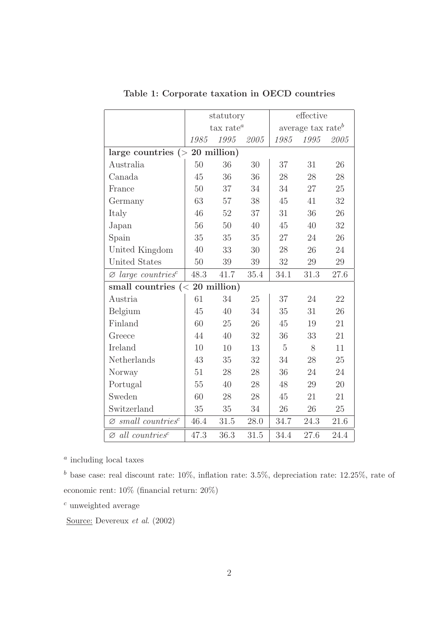|                                            |                     | statutory |          | effective                     |      |      |  |  |
|--------------------------------------------|---------------------|-----------|----------|-------------------------------|------|------|--|--|
|                                            | $\text{tax rate}^a$ |           |          | average tax rate <sup>b</sup> |      |      |  |  |
|                                            | 1985                | 1995      | 2005     | 1985                          | 1995 | 2005 |  |  |
| large countries $(> 20$ million)           |                     |           |          |                               |      |      |  |  |
| Australia                                  | 50                  | 36        | 30       | 37                            | 31   | 26   |  |  |
| Canada                                     | 45                  | 36        | 36       | 28                            | 28   | 28   |  |  |
| France                                     | 50                  | 37        | 34       | 34                            | 27   | 25   |  |  |
| Germany                                    | 63                  | 57        | 38       | 45                            | 41   | 32   |  |  |
| Italy                                      | 46                  | 52        | 37       | 31                            | 36   | 26   |  |  |
| Japan                                      | 56                  | 50        | 40       | 45                            | 40   | 32   |  |  |
| Spain                                      | 35                  | 35        | 35       | 27                            | 24   | 26   |  |  |
| United Kingdom                             | 40                  | 33        | 30       | 28                            | 26   | 24   |  |  |
| United States                              | 50                  | 39        | 39       | 32                            | 29   | 29   |  |  |
| $\varnothing$ large countries <sup>c</sup> | 48.3                | 41.7      | $35.4\,$ | 34.1                          | 31.3 | 27.6 |  |  |
| small countries $(20 million)$             |                     |           |          |                               |      |      |  |  |
| Austria                                    | 61                  | 34        | 25       | 37                            | 24   | 22   |  |  |
| Belgium                                    | 45                  | 40        | 34       | 35                            | 31   | 26   |  |  |
| Finland                                    | 60                  | 25        | 26       | 45                            | 19   | 21   |  |  |
| Greece                                     | 44                  | 40        | 32       | 36                            | 33   | 21   |  |  |
| Ireland                                    | 10                  | 10        | 13       | $\overline{5}$                | 8    | 11   |  |  |
| Netherlands                                | 43                  | 35        | 32       | 34                            | 28   | 25   |  |  |
| Norway                                     | 51                  | 28        | 28       | 36                            | 24   | 24   |  |  |
| Portugal                                   | 55                  | 40        | 28       | 48                            | 29   | 20   |  |  |
| Sweden                                     | 60                  | 28        | 28       | 45                            | 21   | 21   |  |  |
| Switzerland                                | 35                  | 35        | 34       | 26                            | 26   | 25   |  |  |
| $\varnothing$ small countries <sup>c</sup> | 46.4                | 31.5      | 28.0     | 34.7                          | 24.3 | 21.6 |  |  |
| $\varnothing$ all countries <sup>c</sup>   | 47.3                | 36.3      | 31.5     | 34.4                          | 27.6 | 24.4 |  |  |

Table 1: Corporate taxation in OECD countries

<sup>*a*</sup> including local taxes

<sup>b</sup> base case: real discount rate:  $10\%$ , inflation rate:  $3.5\%$ , depreciation rate:  $12.25\%$ , rate of economic rent: 10% (financial return: 20%)

 $c$  unweighted average

Source: Devereux et al. (2002)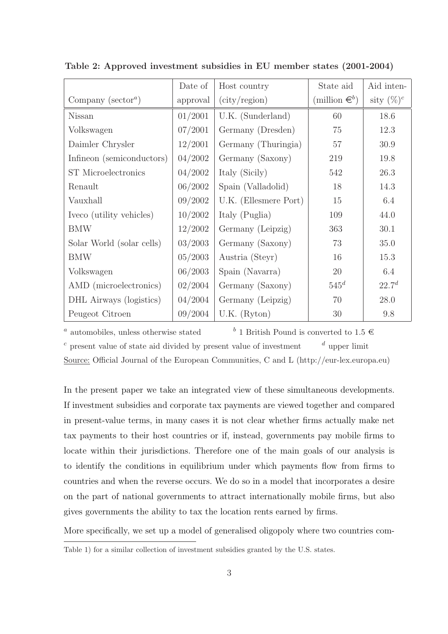|                               | Date of  | Host country                               | State aid          | Aid inten-    |
|-------------------------------|----------|--------------------------------------------|--------------------|---------------|
| Company ( $\text{sector}^a$ ) | approval | $\left(\text{city} / \text{region}\right)$ | (million $\in^b$ ) | sity $(\%)^c$ |
| Nissan                        | 01/2001  | U.K. (Sunderland)                          | 60                 | 18.6          |
| Volkswagen                    | 07/2001  | Germany (Dresden)                          | 75                 | 12.3          |
| Daimler Chrysler              | 12/2001  | Germany (Thuringia)                        | 57                 | 30.9          |
| Infineon (semiconductors)     | 04/2002  | Germany (Saxony)                           | 219                | 19.8          |
| <b>ST</b> Microelectronics    | 04/2002  | Italy (Sicily)                             | 542                | 26.3          |
| Renault                       | 06/2002  | Spain (Valladolid)                         | 18                 | 14.3          |
| Vauxhall                      | 09/2002  | U.K. (Ellesmere Port)                      | 15                 | 6.4           |
| Iveco (utility vehicles)      | 10/2002  | Italy (Puglia)                             | 109                | 44.0          |
| <b>BMW</b>                    | 12/2002  | Germany (Leipzig)                          | 363                | 30.1          |
| Solar World (solar cells)     | 03/2003  | Germany (Saxony)                           | 73                 | 35.0          |
| <b>BMW</b>                    | 05/2003  | Austria (Steyr)                            | 16                 | 15.3          |
| Volkswagen                    | 06/2003  | Spain (Navarra)                            | 20                 | 6.4           |
| AMD (microelectronics)        | 02/2004  | Germany (Saxony)                           | $545^d$            | $22.7^{d}$    |
| DHL Airways (logistics)       | 04/2004  | Germany (Leipzig)                          | 70                 | 28.0          |
| Peugeot Citroen               | 09/2004  | $U.K.$ (Ryton)                             | 30                 | 9.8           |

Table 2: Approved investment subsidies in EU member states (2001-2004)

<sup>*a*</sup> automobiles, unless otherwise stated  $b$  1 British Pound is converted to 1.5  $\in$  $c$  present value of state aid divided by present value of investment  $d$  upper limit

Source: Official Journal of the European Communities, C and L (http://eur-lex.europa.eu)

In the present paper we take an integrated view of these simultaneous developments. If investment subsidies and corporate tax payments are viewed together and compared in present-value terms, in many cases it is not clear whether firms actually make net tax payments to their host countries or if, instead, governments pay mobile firms to locate within their jurisdictions. Therefore one of the main goals of our analysis is to identify the conditions in equilibrium under which payments flow from firms to countries and when the reverse occurs. We do so in a model that incorporates a desire on the part of national governments to attract internationally mobile firms, but also gives governments the ability to tax the location rents earned by firms.

More specifically, we set up a model of generalised oligopoly where two countries com-

Table 1) for a similar collection of investment subsidies granted by the U.S. states.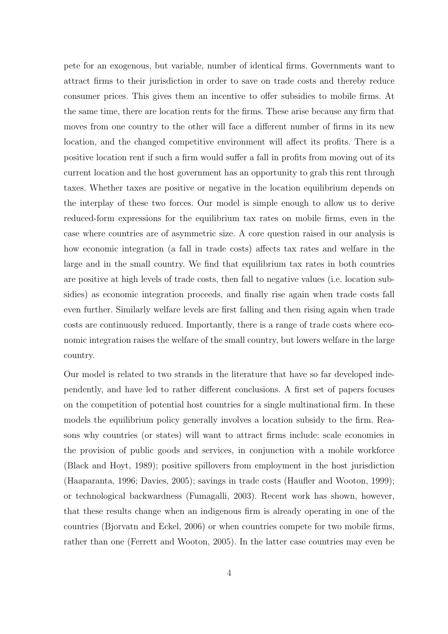pete for an exogenous, but variable, number of identical firms. Governments want to attract firms to their jurisdiction in order to save on trade costs and thereby reduce consumer prices. This gives them an incentive to offer subsidies to mobile firms. At the same time, there are location rents for the firms. These arise because any firm that moves from one country to the other will face a different number of firms in its new location, and the changed competitive environment will affect its profits. There is a positive location rent if such a firm would suffer a fall in profits from moving out of its current location and the host government has an opportunity to grab this rent through taxes. Whether taxes are positive or negative in the location equilibrium depends on the interplay of these two forces. Our model is simple enough to allow us to derive reduced-form expressions for the equilibrium tax rates on mobile firms, even in the case where countries are of asymmetric size. A core question raised in our analysis is how economic integration (a fall in trade costs) affects tax rates and welfare in the large and in the small country. We find that equilibrium tax rates in both countries are positive at high levels of trade costs, then fall to negative values (i.e. location subsidies) as economic integration proceeds, and finally rise again when trade costs fall even further. Similarly welfare levels are first falling and then rising again when trade costs are continuously reduced. Importantly, there is a range of trade costs where economic integration raises the welfare of the small country, but lowers welfare in the large country.

Our model is related to two strands in the literature that have so far developed independently, and have led to rather different conclusions. A first set of papers focuses on the competition of potential host countries for a single multinational firm. In these models the equilibrium policy generally involves a location subsidy to the firm. Reasons why countries (or states) will want to attract firms include: scale economies in the provision of public goods and services, in conjunction with a mobile workforce (Black and Hoyt, 1989); positive spillovers from employment in the host jurisdiction (Haaparanta, 1996; Davies, 2005); savings in trade costs (Haufler and Wooton, 1999); or technological backwardness (Fumagalli, 2003). Recent work has shown, however, that these results change when an indigenous firm is already operating in one of the countries (Bjorvatn and Eckel, 2006) or when countries compete for two mobile firms, rather than one (Ferrett and Wooton, 2005). In the latter case countries may even be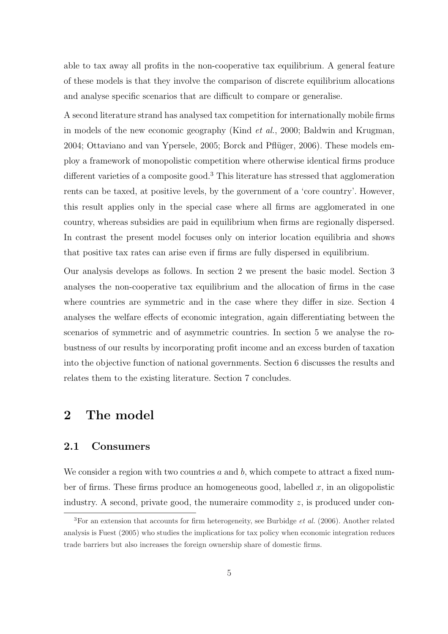able to tax away all profits in the non-cooperative tax equilibrium. A general feature of these models is that they involve the comparison of discrete equilibrium allocations and analyse specific scenarios that are difficult to compare or generalise.

A second literature strand has analysed tax competition for internationally mobile firms in models of the new economic geography (Kind et al., 2000; Baldwin and Krugman, 2004; Ottaviano and van Ypersele, 2005; Borck and Pflüger, 2006). These models employ a framework of monopolistic competition where otherwise identical firms produce different varieties of a composite good.<sup>3</sup> This literature has stressed that agglomeration rents can be taxed, at positive levels, by the government of a 'core country'. However, this result applies only in the special case where all firms are agglomerated in one country, whereas subsidies are paid in equilibrium when firms are regionally dispersed. In contrast the present model focuses only on interior location equilibria and shows that positive tax rates can arise even if firms are fully dispersed in equilibrium.

Our analysis develops as follows. In section 2 we present the basic model. Section 3 analyses the non-cooperative tax equilibrium and the allocation of firms in the case where countries are symmetric and in the case where they differ in size. Section 4 analyses the welfare effects of economic integration, again differentiating between the scenarios of symmetric and of asymmetric countries. In section 5 we analyse the robustness of our results by incorporating profit income and an excess burden of taxation into the objective function of national governments. Section 6 discusses the results and relates them to the existing literature. Section 7 concludes.

## 2 The model

#### 2.1 Consumers

We consider a region with two countries  $a$  and  $b$ , which compete to attract a fixed number of firms. These firms produce an homogeneous good, labelled  $x$ , in an oligopolistic industry. A second, private good, the numeraire commodity  $z$ , is produced under con-

<sup>&</sup>lt;sup>3</sup>For an extension that accounts for firm heterogeneity, see Burbidge *et al.* (2006). Another related analysis is Fuest (2005) who studies the implications for tax policy when economic integration reduces trade barriers but also increases the foreign ownership share of domestic firms.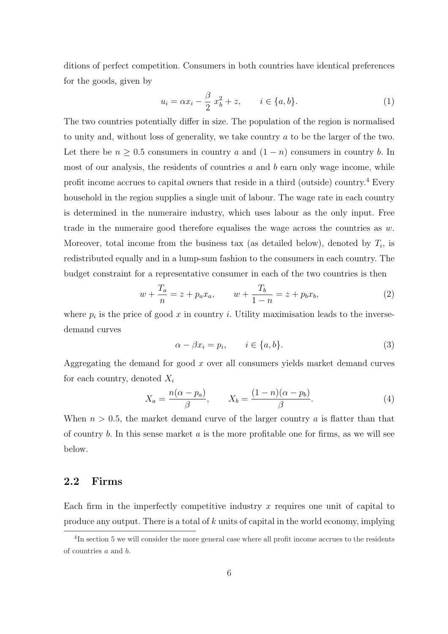ditions of perfect competition. Consumers in both countries have identical preferences for the goods, given by

$$
u_i = \alpha x_i - \frac{\beta}{2} x_h^2 + z, \qquad i \in \{a, b\}.
$$
 (1)

The two countries potentially differ in size. The population of the region is normalised to unity and, without loss of generality, we take country a to be the larger of the two. Let there be  $n \geq 0.5$  consumers in country a and  $(1 - n)$  consumers in country b. In most of our analysis, the residents of countries  $a$  and  $b$  earn only wage income, while profit income accrues to capital owners that reside in a third (outside) country.<sup>4</sup> Every household in the region supplies a single unit of labour. The wage rate in each country is determined in the numeraire industry, which uses labour as the only input. Free trade in the numeraire good therefore equalises the wage across the countries as  $w$ . Moreover, total income from the business tax (as detailed below), denoted by  $T_i$ , is redistributed equally and in a lump-sum fashion to the consumers in each country. The budget constraint for a representative consumer in each of the two countries is then

$$
w + \frac{T_a}{n} = z + p_a x_a, \qquad w + \frac{T_b}{1 - n} = z + p_b x_b,
$$
 (2)

where  $p_i$  is the price of good x in country i. Utility maximisation leads to the inversedemand curves

$$
\alpha - \beta x_i = p_i, \qquad i \in \{a, b\}.
$$
\n(3)

Aggregating the demand for good  $x$  over all consumers yields market demand curves for each country, denoted  $X_i$ 

$$
X_a = \frac{n(\alpha - p_a)}{\beta}, \qquad X_b = \frac{(1 - n)(\alpha - p_b)}{\beta}.
$$
 (4)

When  $n > 0.5$ , the market demand curve of the larger country a is flatter than that of country  $b$ . In this sense market  $a$  is the more profitable one for firms, as we will see below.

#### 2.2 Firms

Each firm in the imperfectly competitive industry  $x$  requires one unit of capital to produce any output. There is a total of k units of capital in the world economy, implying

<sup>&</sup>lt;sup>4</sup>In section 5 we will consider the more general case where all profit income accrues to the residents of countries a and b.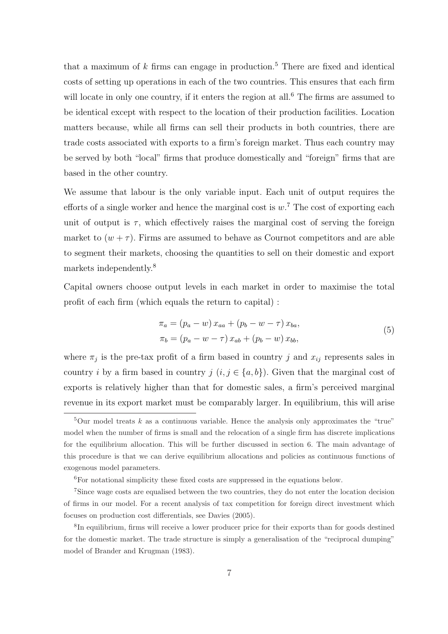that a maximum of  $k$  firms can engage in production.<sup>5</sup> There are fixed and identical costs of setting up operations in each of the two countries. This ensures that each firm will locate in only one country, if it enters the region at all.<sup>6</sup> The firms are assumed to be identical except with respect to the location of their production facilities. Location matters because, while all firms can sell their products in both countries, there are trade costs associated with exports to a firm's foreign market. Thus each country may be served by both "local" firms that produce domestically and "foreign" firms that are based in the other country.

We assume that labour is the only variable input. Each unit of output requires the efforts of a single worker and hence the marginal cost is  $w$ <sup>7</sup>. The cost of exporting each unit of output is  $\tau$ , which effectively raises the marginal cost of serving the foreign market to  $(w + \tau)$ . Firms are assumed to behave as Cournot competitors and are able to segment their markets, choosing the quantities to sell on their domestic and export markets independently.<sup>8</sup>

Capital owners choose output levels in each market in order to maximise the total profit of each firm (which equals the return to capital) :

$$
\pi_a = (p_a - w) x_{aa} + (p_b - w - \tau) x_{ba}, \n\pi_b = (p_a - w - \tau) x_{ab} + (p_b - w) x_{bb},
$$
\n(5)

where  $\pi_j$  is the pre-tax profit of a firm based in country j and  $x_{ij}$  represents sales in country i by a firm based in country  $j$   $(i, j \in \{a, b\})$ . Given that the marginal cost of exports is relatively higher than that for domestic sales, a firm's perceived marginal revenue in its export market must be comparably larger. In equilibrium, this will arise

 $5$ Our model treats k as a continuous variable. Hence the analysis only approximates the "true" model when the number of firms is small and the relocation of a single firm has discrete implications for the equilibrium allocation. This will be further discussed in section 6. The main advantage of this procedure is that we can derive equilibrium allocations and policies as continuous functions of exogenous model parameters.

 $^6\!$  For notational simplicity these fixed costs are suppressed in the equations below.

<sup>7</sup>Since wage costs are equalised between the two countries, they do not enter the location decision of firms in our model. For a recent analysis of tax competition for foreign direct investment which focuses on production cost differentials, see Davies (2005).

<sup>&</sup>lt;sup>8</sup>In equilibrium, firms will receive a lower producer price for their exports than for goods destined for the domestic market. The trade structure is simply a generalisation of the "reciprocal dumping" model of Brander and Krugman (1983).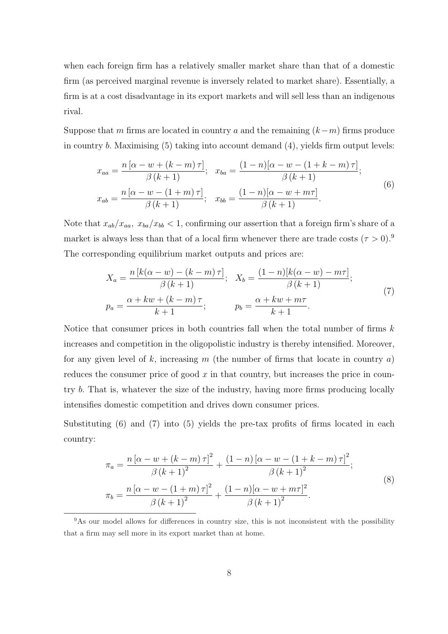when each foreign firm has a relatively smaller market share than that of a domestic firm (as perceived marginal revenue is inversely related to market share). Essentially, a firm is at a cost disadvantage in its export markets and will sell less than an indigenous rival.

Suppose that m firms are located in country a and the remaining  $(k-m)$  firms produce in country b. Maximising (5) taking into account demand (4), yields firm output levels:

$$
x_{aa} = \frac{n[\alpha - w + (k - m)\tau]}{\beta (k + 1)}; \quad x_{ba} = \frac{(1 - n)[\alpha - w - (1 + k - m)\tau]}{\beta (k + 1)};
$$
  

$$
x_{ab} = \frac{n[\alpha - w - (1 + m)\tau]}{\beta (k + 1)}; \quad x_{bb} = \frac{(1 - n)[\alpha - w + m\tau]}{\beta (k + 1)}.
$$

$$
(6)
$$

Note that  $x_{ab}/x_{aa}$ ,  $x_{ba}/x_{bb}$  < 1, confirming our assertion that a foreign firm's share of a market is always less than that of a local firm whenever there are trade costs  $(\tau > 0)$ .<sup>9</sup> The corresponding equilibrium market outputs and prices are:

$$
X_a = \frac{n [k(\alpha - w) - (k - m)\tau]}{\beta (k + 1)}; \quad X_b = \frac{(1 - n)[k(\alpha - w) - m\tau]}{\beta (k + 1)};
$$
  

$$
p_a = \frac{\alpha + kw + (k - m)\tau}{k + 1}; \qquad p_b = \frac{\alpha + kw + m\tau}{k + 1}.
$$

$$
(7)
$$

Notice that consumer prices in both countries fall when the total number of firms  $k$ increases and competition in the oligopolistic industry is thereby intensified. Moreover, for any given level of k, increasing m (the number of firms that locate in country  $a$ ) reduces the consumer price of good  $x$  in that country, but increases the price in country b. That is, whatever the size of the industry, having more firms producing locally intensifies domestic competition and drives down consumer prices.

Substituting (6) and (7) into (5) yields the pre-tax profits of firms located in each country:

$$
\pi_a = \frac{n \left[\alpha - w + (k - m)\tau\right]^2}{\beta \left(k + 1\right)^2} + \frac{(1 - n) \left[\alpha - w - (1 + k - m)\tau\right]^2}{\beta \left(k + 1\right)^2};
$$
\n
$$
\pi_b = \frac{n \left[\alpha - w - (1 + m)\tau\right]^2}{\beta \left(k + 1\right)^2} + \frac{(1 - n) \left[\alpha - w + m\tau\right]^2}{\beta \left(k + 1\right)^2}.
$$
\n(8)

<sup>&</sup>lt;sup>9</sup>As our model allows for differences in country size, this is not inconsistent with the possibility that a firm may sell more in its export market than at home.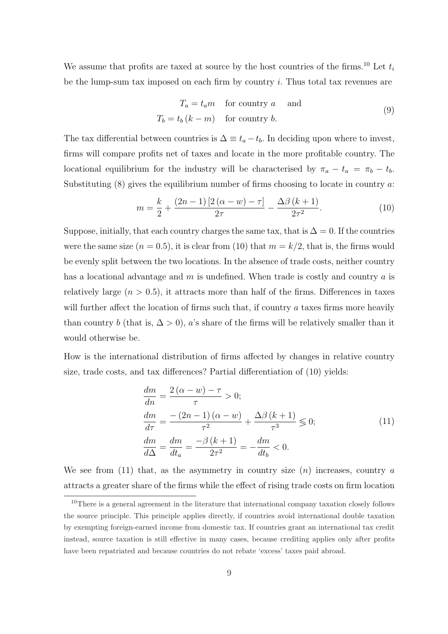We assume that profits are taxed at source by the host countries of the firms.<sup>10</sup> Let  $t_i$ be the lump-sum tax imposed on each firm by country i. Thus total tax revenues are

$$
T_a = t_a m \quad \text{for country } a \quad \text{and}
$$
  

$$
T_b = t_b (k - m) \quad \text{for country } b.
$$
 (9)

The tax differential between countries is  $\Delta \equiv t_a - t_b$ . In deciding upon where to invest, firms will compare profits net of taxes and locate in the more profitable country. The locational equilibrium for the industry will be characterised by  $\pi_a - t_a = \pi_b - t_b$ . Substituting  $(8)$  gives the equilibrium number of firms choosing to locate in country  $a$ .

$$
m = \frac{k}{2} + \frac{(2n-1)[2(\alpha - w) - \tau]}{2\tau} - \frac{\Delta\beta (k+1)}{2\tau^2}.
$$
 (10)

Suppose, initially, that each country charges the same tax, that is  $\Delta = 0$ . If the countries were the same size  $(n = 0.5)$ , it is clear from (10) that  $m = k/2$ , that is, the firms would be evenly split between the two locations. In the absence of trade costs, neither country has a locational advantage and  $m$  is undefined. When trade is costly and country  $a$  is relatively large  $(n > 0.5)$ , it attracts more than half of the firms. Differences in taxes will further affect the location of firms such that, if country  $a$  taxes firms more heavily than country b (that is,  $\Delta > 0$ ), a's share of the firms will be relatively smaller than it would otherwise be.

How is the international distribution of firms affected by changes in relative country size, trade costs, and tax differences? Partial differentiation of (10) yields:

$$
\frac{dm}{dn} = \frac{2(\alpha - w) - \tau}{\tau} > 0; \n\frac{dm}{d\tau} = \frac{-(2n - 1)(\alpha - w)}{\tau^2} + \frac{\Delta\beta (k + 1)}{\tau^3} \le 0; \n\frac{dm}{d\Delta} = \frac{dm}{dt_a} = \frac{-\beta (k + 1)}{2\tau^2} = -\frac{dm}{dt_b} < 0.
$$
\n(11)

We see from  $(11)$  that, as the asymmetry in country size  $(n)$  increases, country a attracts a greater share of the firms while the effect of rising trade costs on firm location

<sup>10</sup>There is a general agreement in the literature that international company taxation closely follows the source principle. This principle applies directly, if countries avoid international double taxation by exempting foreign-earned income from domestic tax. If countries grant an international tax credit instead, source taxation is still effective in many cases, because crediting applies only after profits have been repatriated and because countries do not rebate 'excess' taxes paid abroad.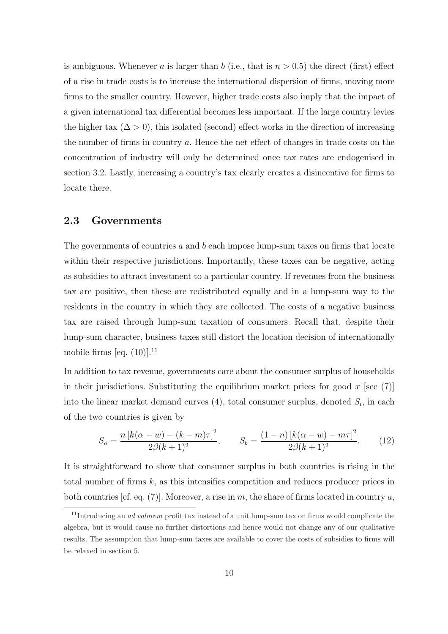is ambiguous. Whenever a is larger than b (i.e., that is  $n > 0.5$ ) the direct (first) effect of a rise in trade costs is to increase the international dispersion of firms, moving more firms to the smaller country. However, higher trade costs also imply that the impact of a given international tax differential becomes less important. If the large country levies the higher tax  $(\Delta > 0)$ , this isolated (second) effect works in the direction of increasing the number of firms in country a. Hence the net effect of changes in trade costs on the concentration of industry will only be determined once tax rates are endogenised in section 3.2. Lastly, increasing a country's tax clearly creates a disincentive for firms to locate there.

#### 2.3 Governments

The governments of countries  $a$  and  $b$  each impose lump-sum taxes on firms that locate within their respective jurisdictions. Importantly, these taxes can be negative, acting as subsidies to attract investment to a particular country. If revenues from the business tax are positive, then these are redistributed equally and in a lump-sum way to the residents in the country in which they are collected. The costs of a negative business tax are raised through lump-sum taxation of consumers. Recall that, despite their lump-sum character, business taxes still distort the location decision of internationally mobile firms [eq.  $(10)$ ].<sup>11</sup>

In addition to tax revenue, governments care about the consumer surplus of households in their jurisdictions. Substituting the equilibrium market prices for good x [see  $(7)$ ] into the linear market demand curves  $(4)$ , total consumer surplus, denoted  $S_i$ , in each of the two countries is given by

$$
S_a = \frac{n [k(\alpha - w) - (k - m)\tau]^2}{2\beta (k + 1)^2}, \qquad S_b = \frac{(1 - n) [k(\alpha - w) - m\tau]^2}{2\beta (k + 1)^2}.
$$
 (12)

It is straightforward to show that consumer surplus in both countries is rising in the total number of firms  $k$ , as this intensifies competition and reduces producer prices in both countries [cf. eq. (7)]. Moreover, a rise in m, the share of firms located in country a,

<sup>&</sup>lt;sup>11</sup>Introducing an *ad valorem* profit tax instead of a unit lump-sum tax on firms would complicate the algebra, but it would cause no further distortions and hence would not change any of our qualitative results. The assumption that lump-sum taxes are available to cover the costs of subsidies to firms will be relaxed in section 5.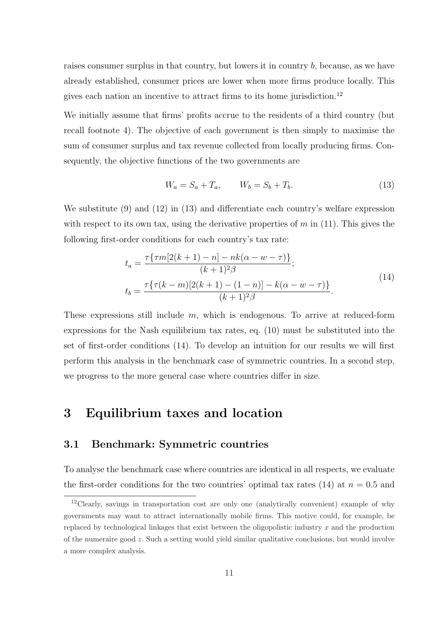raises consumer surplus in that country, but lowers it in country  $b$ , because, as we have already established, consumer prices are lower when more firms produce locally. This gives each nation an incentive to attract firms to its home jurisdiction.<sup>12</sup>

We initially assume that firms' profits accrue to the residents of a third country (but recall footnote 4). The objective of each government is then simply to maximise the sum of consumer surplus and tax revenue collected from locally producing firms. Consequently, the objective functions of the two governments are

$$
W_a = S_a + T_a, \qquad W_b = S_b + T_b. \tag{13}
$$

We substitute (9) and (12) in (13) and differentiate each country's welfare expression with respect to its own tax, using the derivative properties of  $m$  in (11). This gives the following first-order conditions for each country's tax rate:

$$
t_a = \frac{\tau\{\tau m[2(k+1) - n] - nk(\alpha - w - \tau)\}}{(k+1)^2 \beta};
$$
  
\n
$$
t_b = \frac{\tau\{\tau(k-m)[2(k+1) - (1-n)] - k(\alpha - w - \tau)\}}{(k+1)^2 \beta}.
$$
\n(14)

These expressions still include  $m$ , which is endogenous. To arrive at reduced-form expressions for the Nash equilibrium tax rates, eq. (10) must be substituted into the set of first-order conditions (14). To develop an intuition for our results we will first perform this analysis in the benchmark case of symmetric countries. In a second step, we progress to the more general case where countries differ in size.

## 3 Equilibrium taxes and location

#### 3.1 Benchmark: Symmetric countries

To analyse the benchmark case where countries are identical in all respects, we evaluate the first-order conditions for the two countries' optimal tax rates (14) at  $n = 0.5$  and

<sup>12</sup>Clearly, savings in transportation cost are only one (analytically convenient) example of why governments may want to attract internationally mobile firms. This motive could, for example, be replaced by technological linkages that exist between the oligopolistic industry  $x$  and the production of the numeraire good z. Such a setting would yield similar qualitative conclusions, but would involve a more complex analysis.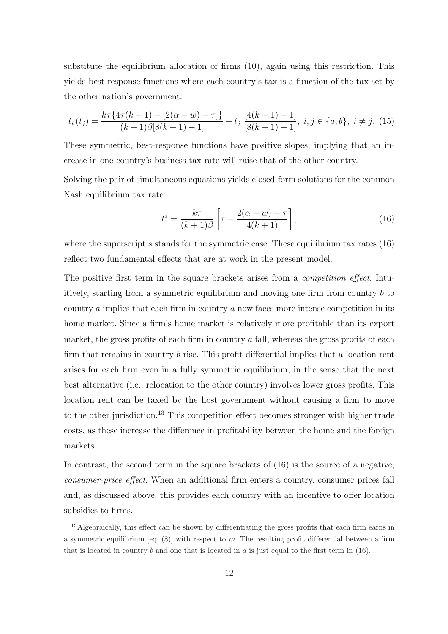substitute the equilibrium allocation of firms (10), again using this restriction. This yields best-response functions where each country's tax is a function of the tax set by the other nation's government:

$$
t_i(t_j) = \frac{k\tau\{4\tau(k+1) - [2(\alpha - w) - \tau]\}}{(k+1)\beta[8(k+1) - 1]} + t_j \frac{[4(k+1) - 1]}{[8(k+1) - 1]}, \ i, j \in \{a, b\}, \ i \neq j. \ (15)
$$

These symmetric, best-response functions have positive slopes, implying that an increase in one country's business tax rate will raise that of the other country.

Solving the pair of simultaneous equations yields closed-form solutions for the common Nash equilibrium tax rate:

$$
t^{s} = \frac{k\tau}{(k+1)\beta} \left[ \tau - \frac{2(\alpha - w) - \tau}{4(k+1)} \right],
$$
\n(16)

where the superscript  $s$  stands for the symmetric case. These equilibrium tax rates  $(16)$ reflect two fundamental effects that are at work in the present model.

The positive first term in the square brackets arises from a *competition effect*. Intuitively, starting from a symmetric equilibrium and moving one firm from country b to country a implies that each firm in country a now faces more intense competition in its home market. Since a firm's home market is relatively more profitable than its export market, the gross profits of each firm in country  $\alpha$  fall, whereas the gross profits of each firm that remains in country b rise. This profit differential implies that a location rent arises for each firm even in a fully symmetric equilibrium, in the sense that the next best alternative (i.e., relocation to the other country) involves lower gross profits. This location rent can be taxed by the host government without causing a firm to move to the other jurisdiction.<sup>13</sup> This competition effect becomes stronger with higher trade costs, as these increase the difference in profitability between the home and the foreign markets.

In contrast, the second term in the square brackets of  $(16)$  is the source of a negative, consumer-price effect. When an additional firm enters a country, consumer prices fall and, as discussed above, this provides each country with an incentive to offer location subsidies to firms.

<sup>&</sup>lt;sup>13</sup>Algebraically, this effect can be shown by differentiating the gross profits that each firm earns in a symmetric equilibrium [eq.  $(8)$ ] with respect to m. The resulting profit differential between a firm that is located in country b and one that is located in a is just equal to the first term in  $(16)$ .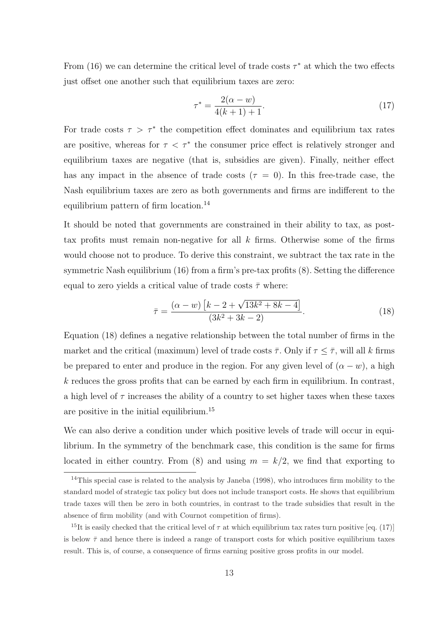From (16) we can determine the critical level of trade costs  $\tau^*$  at which the two effects just offset one another such that equilibrium taxes are zero:

$$
\tau^* = \frac{2(\alpha - w)}{4(k+1) + 1}.\tag{17}
$$

For trade costs  $\tau > \tau^*$  the competition effect dominates and equilibrium tax rates are positive, whereas for  $\tau < \tau^*$  the consumer price effect is relatively stronger and equilibrium taxes are negative (that is, subsidies are given). Finally, neither effect has any impact in the absence of trade costs ( $\tau = 0$ ). In this free-trade case, the Nash equilibrium taxes are zero as both governments and firms are indifferent to the equilibrium pattern of firm location.<sup>14</sup>

It should be noted that governments are constrained in their ability to tax, as posttax profits must remain non-negative for all  $k$  firms. Otherwise some of the firms would choose not to produce. To derive this constraint, we subtract the tax rate in the symmetric Nash equilibrium (16) from a firm's pre-tax profits (8). Setting the difference equal to zero yields a critical value of trade costs  $\bar{\tau}$  where:

$$
\bar{\tau} = \frac{(\alpha - w) \left[k - 2 + \sqrt{13k^2 + 8k - 4}\right]}{(3k^2 + 3k - 2)}.
$$
\n(18)

Equation (18) defines a negative relationship between the total number of firms in the market and the critical (maximum) level of trade costs  $\bar{\tau}$ . Only if  $\tau \leq \bar{\tau}$ , will all k firms be prepared to enter and produce in the region. For any given level of  $(\alpha - w)$ , a high  $k$  reduces the gross profits that can be earned by each firm in equilibrium. In contrast, a high level of  $\tau$  increases the ability of a country to set higher taxes when these taxes are positive in the initial equilibrium.<sup>15</sup>

We can also derive a condition under which positive levels of trade will occur in equilibrium. In the symmetry of the benchmark case, this condition is the same for firms located in either country. From (8) and using  $m = k/2$ , we find that exporting to

<sup>&</sup>lt;sup>14</sup>This special case is related to the analysis by Janeba (1998), who introduces firm mobility to the standard model of strategic tax policy but does not include transport costs. He shows that equilibrium trade taxes will then be zero in both countries, in contrast to the trade subsidies that result in the absence of firm mobility (and with Cournot competition of firms).

<sup>&</sup>lt;sup>15</sup>It is easily checked that the critical level of  $\tau$  at which equilibrium tax rates turn positive [eq. (17)] is below  $\bar{\tau}$  and hence there is indeed a range of transport costs for which positive equilibrium taxes result. This is, of course, a consequence of firms earning positive gross profits in our model.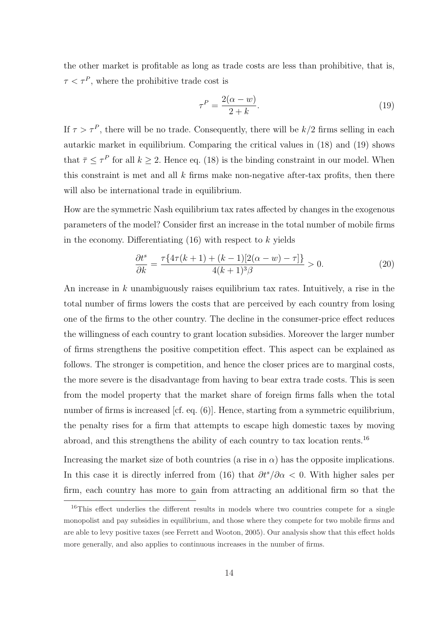the other market is profitable as long as trade costs are less than prohibitive, that is,  $\tau < \tau^P$ , where the prohibitive trade cost is

$$
\tau^P = \frac{2(\alpha - w)}{2 + k}.\tag{19}
$$

If  $\tau > \tau^P$ , there will be no trade. Consequently, there will be  $k/2$  firms selling in each autarkic market in equilibrium. Comparing the critical values in (18) and (19) shows that  $\bar{\tau} \leq \tau^P$  for all  $k \geq 2$ . Hence eq. (18) is the binding constraint in our model. When this constraint is met and all  $k$  firms make non-negative after-tax profits, then there will also be international trade in equilibrium.

How are the symmetric Nash equilibrium tax rates affected by changes in the exogenous parameters of the model? Consider first an increase in the total number of mobile firms in the economy. Differentiating  $(16)$  with respect to k yields

$$
\frac{\partial t^s}{\partial k} = \frac{\tau \{4\tau (k+1) + (k-1)[2(\alpha - w) - \tau] \}}{4(k+1)^3 \beta} > 0.
$$
 (20)

An increase in k unambiguously raises equilibrium tax rates. Intuitively, a rise in the total number of firms lowers the costs that are perceived by each country from losing one of the firms to the other country. The decline in the consumer-price effect reduces the willingness of each country to grant location subsidies. Moreover the larger number of firms strengthens the positive competition effect. This aspect can be explained as follows. The stronger is competition, and hence the closer prices are to marginal costs, the more severe is the disadvantage from having to bear extra trade costs. This is seen from the model property that the market share of foreign firms falls when the total number of firms is increased [cf. eq.  $(6)$ ]. Hence, starting from a symmetric equilibrium, the penalty rises for a firm that attempts to escape high domestic taxes by moving abroad, and this strengthens the ability of each country to tax location rents.<sup>16</sup>

Increasing the market size of both countries (a rise in  $\alpha$ ) has the opposite implications. In this case it is directly inferred from (16) that  $\partial t^s/\partial \alpha < 0$ . With higher sales per firm, each country has more to gain from attracting an additional firm so that the

<sup>&</sup>lt;sup>16</sup>This effect underlies the different results in models where two countries compete for a single monopolist and pay subsidies in equilibrium, and those where they compete for two mobile firms and are able to levy positive taxes (see Ferrett and Wooton, 2005). Our analysis show that this effect holds more generally, and also applies to continuous increases in the number of firms.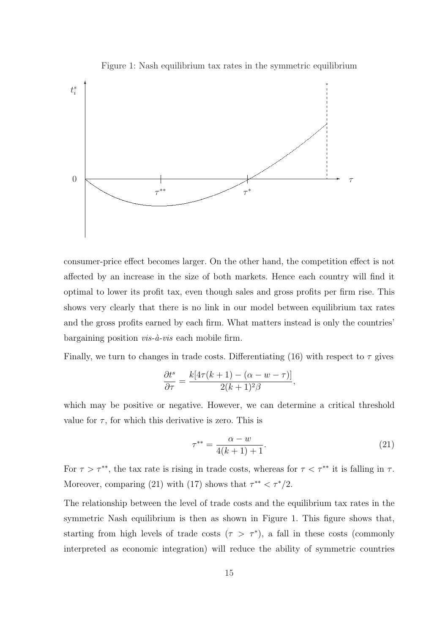Figure 1: Nash equilibrium tax rates in the symmetric equilibrium



consumer-price effect becomes larger. On the other hand, the competition effect is not affected by an increase in the size of both markets. Hence each country will find it optimal to lower its profit tax, even though sales and gross profits per firm rise. This shows very clearly that there is no link in our model between equilibrium tax rates and the gross profits earned by each firm. What matters instead is only the countries' bargaining position  $vis-\hat{a}-vis$  each mobile firm.

Finally, we turn to changes in trade costs. Differentiating (16) with respect to  $\tau$  gives

$$
\frac{\partial t^s}{\partial \tau} = \frac{k[4\tau(k+1) - (\alpha - w - \tau)]}{2(k+1)^2 \beta},
$$

which may be positive or negative. However, we can determine a critical threshold value for  $\tau$ , for which this derivative is zero. This is

$$
\tau^{**} = \frac{\alpha - w}{4(k+1) + 1}.\tag{21}
$$

For  $\tau > \tau^{**}$ , the tax rate is rising in trade costs, whereas for  $\tau < \tau^{**}$  it is falling in  $\tau$ . Moreover, comparing (21) with (17) shows that  $\tau^{**} < \tau^*/2$ .

The relationship between the level of trade costs and the equilibrium tax rates in the symmetric Nash equilibrium is then as shown in Figure 1. This figure shows that, starting from high levels of trade costs  $(\tau > \tau^*)$ , a fall in these costs (commonly interpreted as economic integration) will reduce the ability of symmetric countries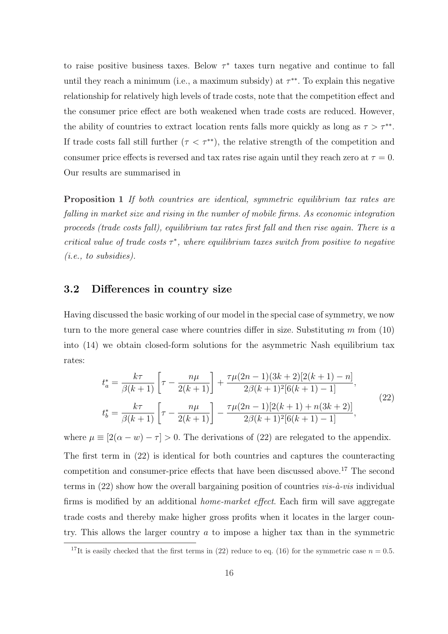to raise positive business taxes. Below  $\tau^*$  taxes turn negative and continue to fall until they reach a minimum (i.e., a maximum subsidy) at  $\tau^{**}$ . To explain this negative relationship for relatively high levels of trade costs, note that the competition effect and the consumer price effect are both weakened when trade costs are reduced. However, the ability of countries to extract location rents falls more quickly as long as  $\tau > \tau^{**}$ . If trade costs fall still further ( $\tau < \tau^{**}$ ), the relative strength of the competition and consumer price effects is reversed and tax rates rise again until they reach zero at  $\tau = 0$ . Our results are summarised in

Proposition 1 If both countries are identical, symmetric equilibrium tax rates are falling in market size and rising in the number of mobile firms. As economic integration proceeds (trade costs fall), equilibrium tax rates first fall and then rise again. There is a critical value of trade costs  $\tau^*$ , where equilibrium taxes switch from positive to negative (i.e., to subsidies).

#### 3.2 Differences in country size

Having discussed the basic working of our model in the special case of symmetry, we now turn to the more general case where countries differ in size. Substituting  $m$  from  $(10)$ into (14) we obtain closed-form solutions for the asymmetric Nash equilibrium tax rates:

$$
t_a^* = \frac{k\tau}{\beta(k+1)} \left[ \tau - \frac{n\mu}{2(k+1)} \right] + \frac{\tau\mu(2n-1)(3k+2)[2(k+1)-n]}{2\beta(k+1)^2[6(k+1)-1]},
$$
  
\n
$$
t_b^* = \frac{k\tau}{\beta(k+1)} \left[ \tau - \frac{n\mu}{2(k+1)} \right] - \frac{\tau\mu(2n-1)[2(k+1)+n(3k+2)]}{2\beta(k+1)^2[6(k+1)-1]},
$$
\n(22)

where  $\mu \equiv [2(\alpha - w) - \tau] > 0$ . The derivations of (22) are relegated to the appendix.

The first term in (22) is identical for both countries and captures the counteracting competition and consumer-price effects that have been discussed above.<sup>17</sup> The second terms in  $(22)$  show how the overall bargaining position of countries *vis-à-vis* individual firms is modified by an additional home-market effect. Each firm will save aggregate trade costs and thereby make higher gross profits when it locates in the larger country. This allows the larger country  $a$  to impose a higher tax than in the symmetric

<sup>&</sup>lt;sup>17</sup>It is easily checked that the first terms in (22) reduce to eq. (16) for the symmetric case  $n = 0.5$ .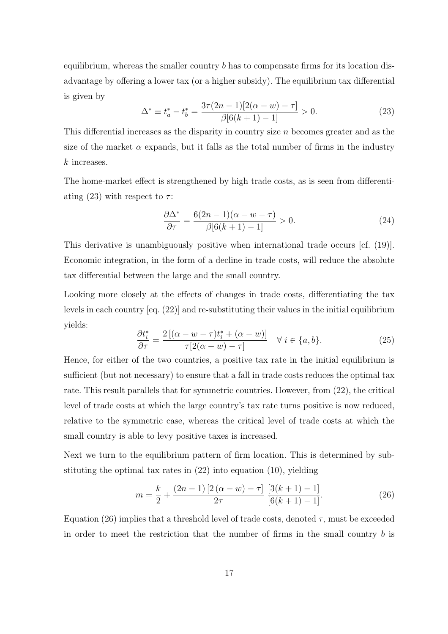equilibrium, whereas the smaller country  $b$  has to compensate firms for its location disadvantage by offering a lower tax (or a higher subsidy). The equilibrium tax differential is given by

$$
\Delta^* \equiv t_a^* - t_b^* = \frac{3\tau(2n-1)[2(\alpha - w) - \tau]}{\beta[6(k+1) - 1]} > 0.
$$
 (23)

This differential increases as the disparity in country size  $n$  becomes greater and as the size of the market  $\alpha$  expands, but it falls as the total number of firms in the industry k increases.

The home-market effect is strengthened by high trade costs, as is seen from differentiating (23) with respect to  $\tau$ :

$$
\frac{\partial \Delta^*}{\partial \tau} = \frac{6(2n-1)(\alpha - w - \tau)}{\beta[6(k+1) - 1]} > 0.
$$
\n(24)

This derivative is unambiguously positive when international trade occurs [cf. (19)]. Economic integration, in the form of a decline in trade costs, will reduce the absolute tax differential between the large and the small country.

Looking more closely at the effects of changes in trade costs, differentiating the tax levels in each country [eq. (22)] and re-substituting their values in the initial equilibrium yields:

$$
\frac{\partial t_i^*}{\partial \tau} = \frac{2\left[ (\alpha - w - \tau)t_i^* + (\alpha - w) \right]}{\tau [2(\alpha - w) - \tau]} \quad \forall \ i \in \{a, b\}.
$$
\n(25)

Hence, for either of the two countries, a positive tax rate in the initial equilibrium is sufficient (but not necessary) to ensure that a fall in trade costs reduces the optimal tax rate. This result parallels that for symmetric countries. However, from (22), the critical level of trade costs at which the large country's tax rate turns positive is now reduced, relative to the symmetric case, whereas the critical level of trade costs at which the small country is able to levy positive taxes is increased.

Next we turn to the equilibrium pattern of firm location. This is determined by substituting the optimal tax rates in (22) into equation (10), yielding

$$
m = \frac{k}{2} + \frac{(2n-1)[2(\alpha - w) - \tau]}{2\tau} \frac{[3(k+1) - 1]}{[6(k+1) - 1]}.
$$
 (26)

Equation (26) implies that a threshold level of trade costs, denoted  $\tau$ , must be exceeded in order to meet the restriction that the number of firms in the small country  $b$  is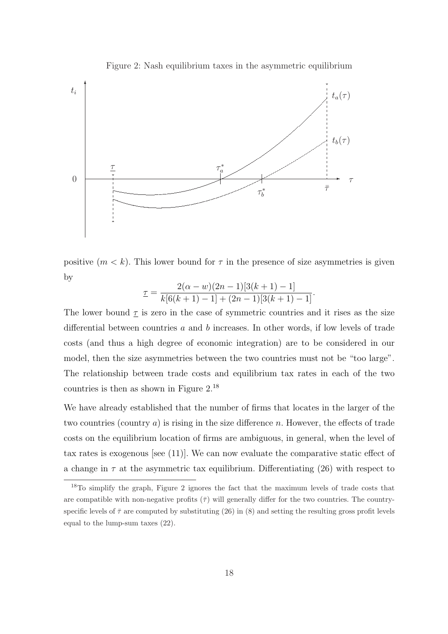

Figure 2: Nash equilibrium taxes in the asymmetric equilibrium

positive  $(m < k)$ . This lower bound for  $\tau$  in the presence of size asymmetries is given by

$$
\underline{\tau} = \frac{2(\alpha - w)(2n - 1)[3(k + 1) - 1]}{k[6(k + 1) - 1] + (2n - 1)[3(k + 1) - 1]}.
$$

The lower bound  $\tau$  is zero in the case of symmetric countries and it rises as the size differential between countries a and b increases. In other words, if low levels of trade costs (and thus a high degree of economic integration) are to be considered in our model, then the size asymmetries between the two countries must not be "too large". The relationship between trade costs and equilibrium tax rates in each of the two countries is then as shown in Figure 2.<sup>18</sup>

We have already established that the number of firms that locates in the larger of the two countries (country  $a$ ) is rising in the size difference n. However, the effects of trade costs on the equilibrium location of firms are ambiguous, in general, when the level of tax rates is exogenous [see (11)]. We can now evaluate the comparative static effect of a change in  $\tau$  at the asymmetric tax equilibrium. Differentiating (26) with respect to

<sup>&</sup>lt;sup>18</sup>To simplify the graph, Figure 2 ignores the fact that the maximum levels of trade costs that are compatible with non-negative profits  $(\bar{\tau})$  will generally differ for the two countries. The countryspecific levels of  $\bar{\tau}$  are computed by substituting (26) in (8) and setting the resulting gross profit levels equal to the lump-sum taxes (22).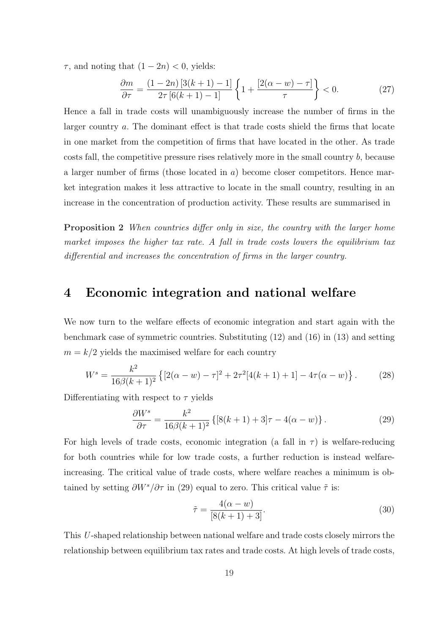$\tau$ , and noting that  $(1 - 2n) < 0$ , yields:

$$
\frac{\partial m}{\partial \tau} = \frac{(1 - 2n) [3(k+1) - 1]}{2\tau [6(k+1) - 1]} \left\{ 1 + \frac{[2(\alpha - w) - \tau]}{\tau} \right\} < 0.
$$
 (27)

Hence a fall in trade costs will unambiguously increase the number of firms in the larger country a. The dominant effect is that trade costs shield the firms that locate in one market from the competition of firms that have located in the other. As trade costs fall, the competitive pressure rises relatively more in the small country b, because a larger number of firms (those located in a) become closer competitors. Hence market integration makes it less attractive to locate in the small country, resulting in an increase in the concentration of production activity. These results are summarised in

Proposition 2 When countries differ only in size, the country with the larger home market imposes the higher tax rate. A fall in trade costs lowers the equilibrium tax differential and increases the concentration of firms in the larger country.

## 4 Economic integration and national welfare

We now turn to the welfare effects of economic integration and start again with the benchmark case of symmetric countries. Substituting (12) and (16) in (13) and setting  $m = k/2$  yields the maximised welfare for each country

$$
W^s = \frac{k^2}{16\beta(k+1)^2} \left\{ [2(\alpha - w) - \tau]^2 + 2\tau^2 [4(k+1) + 1] - 4\tau(\alpha - w) \right\}.
$$
 (28)

Differentiating with respect to  $\tau$  yields

$$
\frac{\partial W^s}{\partial \tau} = \frac{k^2}{16\beta(k+1)^2} \left\{ [8(k+1) + 3]\tau - 4(\alpha - w) \right\}.
$$
 (29)

For high levels of trade costs, economic integration (a fall in  $\tau$ ) is welfare-reducing for both countries while for low trade costs, a further reduction is instead welfareincreasing. The critical value of trade costs, where welfare reaches a minimum is obtained by setting  $\partial W^s/\partial \tau$  in (29) equal to zero. This critical value  $\tilde{\tau}$  is:

$$
\tilde{\tau} = \frac{4(\alpha - w)}{[8(k+1) + 3]}.\tag{30}
$$

This U-shaped relationship between national welfare and trade costs closely mirrors the relationship between equilibrium tax rates and trade costs. At high levels of trade costs,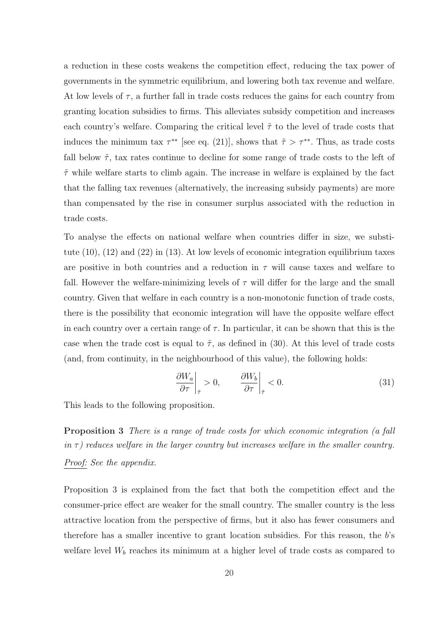a reduction in these costs weakens the competition effect, reducing the tax power of governments in the symmetric equilibrium, and lowering both tax revenue and welfare. At low levels of  $\tau$ , a further fall in trade costs reduces the gains for each country from granting location subsidies to firms. This alleviates subsidy competition and increases each country's welfare. Comparing the critical level  $\tilde{\tau}$  to the level of trade costs that induces the minimum tax  $\tau^{**}$  [see eq. (21)], shows that  $\tilde{\tau} > \tau^{**}$ . Thus, as trade costs fall below  $\tilde{\tau}$ , tax rates continue to decline for some range of trade costs to the left of  $\tilde{\tau}$  while welfare starts to climb again. The increase in welfare is explained by the fact that the falling tax revenues (alternatively, the increasing subsidy payments) are more than compensated by the rise in consumer surplus associated with the reduction in trade costs.

To analyse the effects on national welfare when countries differ in size, we substitute (10), (12) and (22) in (13). At low levels of economic integration equilibrium taxes are positive in both countries and a reduction in  $\tau$  will cause taxes and welfare to fall. However the welfare-minimizing levels of  $\tau$  will differ for the large and the small country. Given that welfare in each country is a non-monotonic function of trade costs, there is the possibility that economic integration will have the opposite welfare effect in each country over a certain range of  $\tau$ . In particular, it can be shown that this is the case when the trade cost is equal to  $\tilde{\tau}$ , as defined in (30). At this level of trade costs (and, from continuity, in the neighbourhood of this value), the following holds:

$$
\left. \frac{\partial W_a}{\partial \tau} \right|_{\tilde{\tau}} > 0, \qquad \left. \frac{\partial W_b}{\partial \tau} \right|_{\tilde{\tau}} < 0. \tag{31}
$$

This leads to the following proposition.

Proposition 3 There is a range of trade costs for which economic integration (a fall in  $\tau$ ) reduces welfare in the larger country but increases welfare in the smaller country. Proof: See the appendix.

Proposition 3 is explained from the fact that both the competition effect and the consumer-price effect are weaker for the small country. The smaller country is the less attractive location from the perspective of firms, but it also has fewer consumers and therefore has a smaller incentive to grant location subsidies. For this reason, the b's welfare level  $W_b$  reaches its minimum at a higher level of trade costs as compared to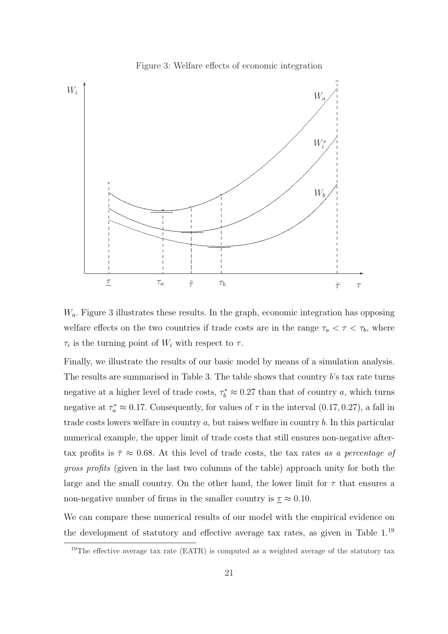

Figure 3: Welfare effects of economic integration

 $W_a$ . Figure 3 illustrates these results. In the graph, economic integration has opposing welfare effects on the two countries if trade costs are in the range  $\tau_a < \tau < \tau_b$ , where  $\tau_i$  is the turning point of  $W_i$  with respect to  $\tau$ .

Finally, we illustrate the results of our basic model by means of a simulation analysis. The results are summarised in Table 3. The table shows that country b's tax rate turns negative at a higher level of trade costs,  $\tau_b^* \approx 0.27$  than that of country a, which turns negative at  $\tau_a^* \approx 0.17$ . Consequently, for values of  $\tau$  in the interval  $(0.17, 0.27)$ , a fall in trade costs lowers welfare in country a, but raises welfare in country b. In this particular numerical example, the upper limit of trade costs that still ensures non-negative aftertax profits is  $\bar{\tau} \approx 0.68$ . At this level of trade costs, the tax rates as a percentage of gross profits (given in the last two columns of the table) approach unity for both the large and the small country. On the other hand, the lower limit for  $\tau$  that ensures a non-negative number of firms in the smaller country is  $\tau \approx 0.10$ .

We can compare these numerical results of our model with the empirical evidence on the development of statutory and effective average tax rates, as given in Table 1.<sup>19</sup>

<sup>&</sup>lt;sup>19</sup>The effective average tax rate (EATR) is computed as a weighted average of the statutory tax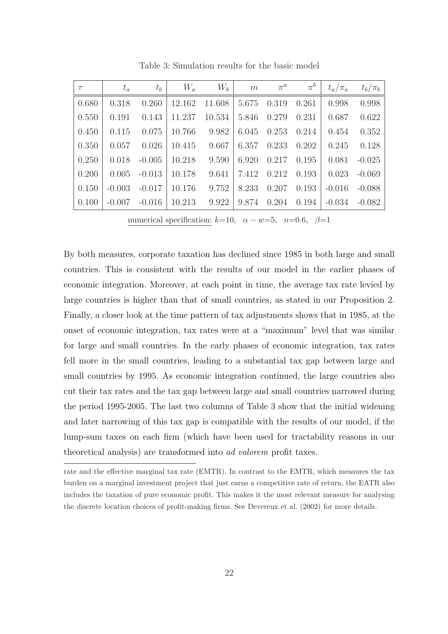| $\tau$ | $t_a$    | $t_b$    | $W_a$  | $W_b$  | m     | $\pi^a$ | $\pi^b$ | $t_a/\pi_a$ | $t_b/\pi_b$ |
|--------|----------|----------|--------|--------|-------|---------|---------|-------------|-------------|
| 0.680  | 0.318    | 0.260    | 12.162 | 11.608 | 5.675 | 0.319   | 0.261   | 0.998       | 0.998       |
| 0.550  | 0.191    | 0.143    | 11.237 | 10.534 | 5.846 | 0.279   | 0.231   | 0.687       | 0.622       |
| 0.450  | 0.115    | 0.075    | 10.766 | 9.982  | 6.045 | 0.253   | 0.214   | 0.454       | 0.352       |
| 0.350  | 0.057    | 0.026    | 10.415 | 9.667  | 6.357 | 0.233   | 0.202   | 0.245       | 0.128       |
| 0.250  | 0.018    | $-0.005$ | 10.218 | 9.590  | 6.920 | 0.217   | 0.195   | 0.081       | $-0.025$    |
| 0.200  | 0.005    | $-0.013$ | 10.178 | 9.641  | 7.412 | 0.212   | 0.193   | 0.023       | $-0.069$    |
| 0.150  | $-0.003$ | $-0.017$ | 10.176 | 9.752  | 8.233 | 0.207   | 0.193   | $-0.016$    | $-0.088$    |
| 0.100  | $-0.007$ | $-0.016$ | 10.213 | 9.922  | 9.874 | 0.204   | 0.194   | $-0.034$    | $-0.082$    |

Table 3: Simulation results for the basic model

numerical specification:  $k=10$ ,  $\alpha - w=5$ ,  $n=0.6$ ,  $\beta=1$ 

By both measures, corporate taxation has declined since 1985 in both large and small countries. This is consistent with the results of our model in the earlier phases of economic integration. Moreover, at each point in time, the average tax rate levied by large countries is higher than that of small countries, as stated in our Proposition 2. Finally, a closer look at the time pattern of tax adjustments shows that in 1985, at the onset of economic integration, tax rates were at a "maximum" level that was similar for large and small countries. In the early phases of economic integration, tax rates fell more in the small countries, leading to a substantial tax gap between large and small countries by 1995. As economic integration continued, the large countries also cut their tax rates and the tax gap between large and small countries narrowed during the period 1995-2005. The last two columns of Table 3 show that the initial widening and later narrowing of this tax gap is compatible with the results of our model, if the lump-sum taxes on each firm (which have been used for tractability reasons in our theoretical analysis) are transformed into ad valorem profit taxes.

rate and the effective marginal tax rate (EMTR). In contrast to the EMTR, which measures the tax burden on a marginal investment project that just earns a competitive rate of return, the EATR also includes the taxation of pure economic profit. This makes it the most relevant measure for analysing the discrete location choices of profit-making firms. See Devereux et al. (2002) for more details.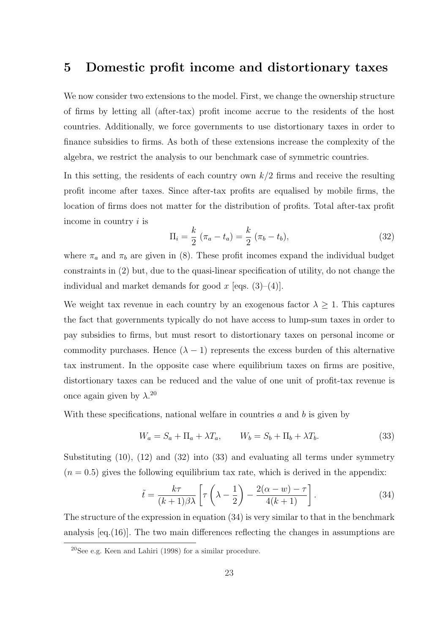## 5 Domestic profit income and distortionary taxes

We now consider two extensions to the model. First, we change the ownership structure of firms by letting all (after-tax) profit income accrue to the residents of the host countries. Additionally, we force governments to use distortionary taxes in order to finance subsidies to firms. As both of these extensions increase the complexity of the algebra, we restrict the analysis to our benchmark case of symmetric countries.

In this setting, the residents of each country own  $k/2$  firms and receive the resulting profit income after taxes. Since after-tax profits are equalised by mobile firms, the location of firms does not matter for the distribution of profits. Total after-tax profit income in country i is

$$
\Pi_i = \frac{k}{2} (\pi_a - t_a) = \frac{k}{2} (\pi_b - t_b),
$$
\n(32)

where  $\pi_a$  and  $\pi_b$  are given in (8). These profit incomes expand the individual budget constraints in (2) but, due to the quasi-linear specification of utility, do not change the individual and market demands for good x [eqs.  $(3)–(4)$ ].

We weight tax revenue in each country by an exogenous factor  $\lambda \geq 1$ . This captures the fact that governments typically do not have access to lump-sum taxes in order to pay subsidies to firms, but must resort to distortionary taxes on personal income or commodity purchases. Hence  $(\lambda - 1)$  represents the excess burden of this alternative tax instrument. In the opposite case where equilibrium taxes on firms are positive, distortionary taxes can be reduced and the value of one unit of profit-tax revenue is once again given by  $\lambda$ .<sup>20</sup>

With these specifications, national welfare in countries  $a$  and  $b$  is given by

$$
W_a = S_a + \Pi_a + \lambda T_a, \qquad W_b = S_b + \Pi_b + \lambda T_b. \tag{33}
$$

Substituting  $(10)$ ,  $(12)$  and  $(32)$  into  $(33)$  and evaluating all terms under symmetry  $(n = 0.5)$  gives the following equilibrium tax rate, which is derived in the appendix:

$$
\tilde{t} = \frac{k\tau}{(k+1)\beta\lambda} \left[ \tau \left( \lambda - \frac{1}{2} \right) - \frac{2(\alpha - w) - \tau}{4(k+1)} \right].
$$
\n(34)

The structure of the expression in equation (34) is very similar to that in the benchmark analysis [eq.(16)]. The two main differences reflecting the changes in assumptions are

<sup>20</sup>See e.g. Keen and Lahiri (1998) for a similar procedure.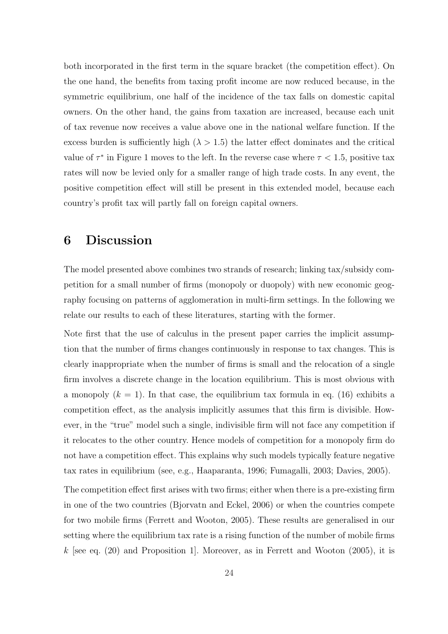both incorporated in the first term in the square bracket (the competition effect). On the one hand, the benefits from taxing profit income are now reduced because, in the symmetric equilibrium, one half of the incidence of the tax falls on domestic capital owners. On the other hand, the gains from taxation are increased, because each unit of tax revenue now receives a value above one in the national welfare function. If the excess burden is sufficiently high  $(\lambda > 1.5)$  the latter effect dominates and the critical value of  $\tau^*$  in Figure 1 moves to the left. In the reverse case where  $\tau < 1.5$ , positive tax rates will now be levied only for a smaller range of high trade costs. In any event, the positive competition effect will still be present in this extended model, because each country's profit tax will partly fall on foreign capital owners.

## 6 Discussion

The model presented above combines two strands of research; linking tax/subsidy competition for a small number of firms (monopoly or duopoly) with new economic geography focusing on patterns of agglomeration in multi-firm settings. In the following we relate our results to each of these literatures, starting with the former.

Note first that the use of calculus in the present paper carries the implicit assumption that the number of firms changes continuously in response to tax changes. This is clearly inappropriate when the number of firms is small and the relocation of a single firm involves a discrete change in the location equilibrium. This is most obvious with a monopoly  $(k = 1)$ . In that case, the equilibrium tax formula in eq. (16) exhibits a competition effect, as the analysis implicitly assumes that this firm is divisible. However, in the "true" model such a single, indivisible firm will not face any competition if it relocates to the other country. Hence models of competition for a monopoly firm do not have a competition effect. This explains why such models typically feature negative tax rates in equilibrium (see, e.g., Haaparanta, 1996; Fumagalli, 2003; Davies, 2005).

The competition effect first arises with two firms; either when there is a pre-existing firm in one of the two countries (Bjorvatn and Eckel, 2006) or when the countries compete for two mobile firms (Ferrett and Wooton, 2005). These results are generalised in our setting where the equilibrium tax rate is a rising function of the number of mobile firms  $k$  [see eq. (20) and Proposition 1]. Moreover, as in Ferrett and Wooton (2005), it is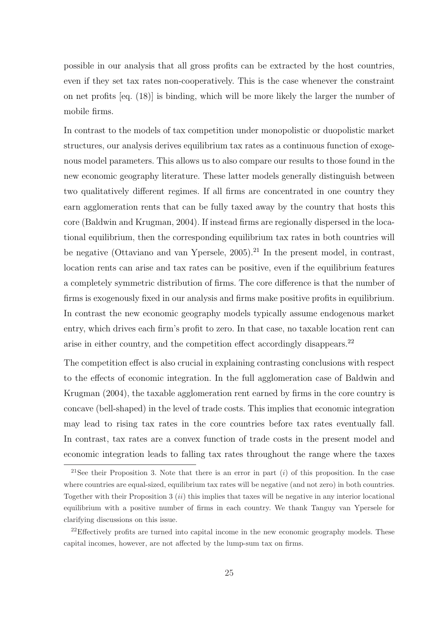possible in our analysis that all gross profits can be extracted by the host countries, even if they set tax rates non-cooperatively. This is the case whenever the constraint on net profits [eq. (18)] is binding, which will be more likely the larger the number of mobile firms.

In contrast to the models of tax competition under monopolistic or duopolistic market structures, our analysis derives equilibrium tax rates as a continuous function of exogenous model parameters. This allows us to also compare our results to those found in the new economic geography literature. These latter models generally distinguish between two qualitatively different regimes. If all firms are concentrated in one country they earn agglomeration rents that can be fully taxed away by the country that hosts this core (Baldwin and Krugman, 2004). If instead firms are regionally dispersed in the locational equilibrium, then the corresponding equilibrium tax rates in both countries will be negative (Ottaviano and van Ypersele,  $2005$ ).<sup>21</sup> In the present model, in contrast, location rents can arise and tax rates can be positive, even if the equilibrium features a completely symmetric distribution of firms. The core difference is that the number of firms is exogenously fixed in our analysis and firms make positive profits in equilibrium. In contrast the new economic geography models typically assume endogenous market entry, which drives each firm's profit to zero. In that case, no taxable location rent can arise in either country, and the competition effect accordingly disappears.<sup>22</sup>

The competition effect is also crucial in explaining contrasting conclusions with respect to the effects of economic integration. In the full agglomeration case of Baldwin and Krugman (2004), the taxable agglomeration rent earned by firms in the core country is concave (bell-shaped) in the level of trade costs. This implies that economic integration may lead to rising tax rates in the core countries before tax rates eventually fall. In contrast, tax rates are a convex function of trade costs in the present model and economic integration leads to falling tax rates throughout the range where the taxes

<sup>&</sup>lt;sup>21</sup>See their Proposition 3. Note that there is an error in part  $(i)$  of this proposition. In the case where countries are equal-sized, equilibrium tax rates will be negative (and not zero) in both countries. Together with their Proposition 3  $(ii)$  this implies that taxes will be negative in any interior locational equilibrium with a positive number of firms in each country. We thank Tanguy van Ypersele for clarifying discussions on this issue.

 $22$ Effectively profits are turned into capital income in the new economic geography models. These capital incomes, however, are not affected by the lump-sum tax on firms.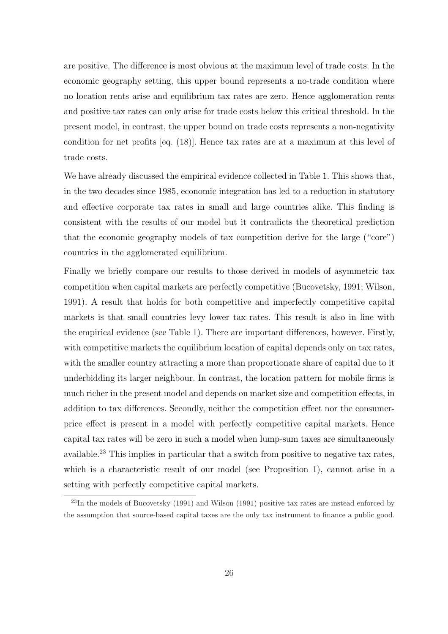are positive. The difference is most obvious at the maximum level of trade costs. In the economic geography setting, this upper bound represents a no-trade condition where no location rents arise and equilibrium tax rates are zero. Hence agglomeration rents and positive tax rates can only arise for trade costs below this critical threshold. In the present model, in contrast, the upper bound on trade costs represents a non-negativity condition for net profits [eq. (18)]. Hence tax rates are at a maximum at this level of trade costs.

We have already discussed the empirical evidence collected in Table 1. This shows that, in the two decades since 1985, economic integration has led to a reduction in statutory and effective corporate tax rates in small and large countries alike. This finding is consistent with the results of our model but it contradicts the theoretical prediction that the economic geography models of tax competition derive for the large ("core") countries in the agglomerated equilibrium.

Finally we briefly compare our results to those derived in models of asymmetric tax competition when capital markets are perfectly competitive (Bucovetsky, 1991; Wilson, 1991). A result that holds for both competitive and imperfectly competitive capital markets is that small countries levy lower tax rates. This result is also in line with the empirical evidence (see Table 1). There are important differences, however. Firstly, with competitive markets the equilibrium location of capital depends only on tax rates, with the smaller country attracting a more than proportionate share of capital due to it underbidding its larger neighbour. In contrast, the location pattern for mobile firms is much richer in the present model and depends on market size and competition effects, in addition to tax differences. Secondly, neither the competition effect nor the consumerprice effect is present in a model with perfectly competitive capital markets. Hence capital tax rates will be zero in such a model when lump-sum taxes are simultaneously available.<sup>23</sup> This implies in particular that a switch from positive to negative tax rates, which is a characteristic result of our model (see Proposition 1), cannot arise in a setting with perfectly competitive capital markets.

<sup>&</sup>lt;sup>23</sup>In the models of Bucovetsky (1991) and Wilson (1991) positive tax rates are instead enforced by the assumption that source-based capital taxes are the only tax instrument to finance a public good.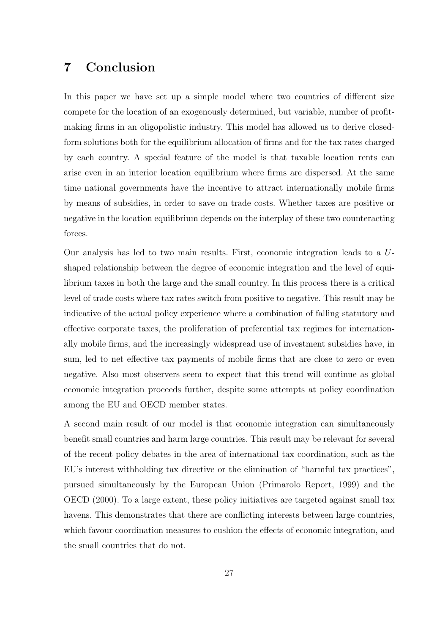## 7 Conclusion

In this paper we have set up a simple model where two countries of different size compete for the location of an exogenously determined, but variable, number of profitmaking firms in an oligopolistic industry. This model has allowed us to derive closedform solutions both for the equilibrium allocation of firms and for the tax rates charged by each country. A special feature of the model is that taxable location rents can arise even in an interior location equilibrium where firms are dispersed. At the same time national governments have the incentive to attract internationally mobile firms by means of subsidies, in order to save on trade costs. Whether taxes are positive or negative in the location equilibrium depends on the interplay of these two counteracting forces.

Our analysis has led to two main results. First, economic integration leads to a Ushaped relationship between the degree of economic integration and the level of equilibrium taxes in both the large and the small country. In this process there is a critical level of trade costs where tax rates switch from positive to negative. This result may be indicative of the actual policy experience where a combination of falling statutory and effective corporate taxes, the proliferation of preferential tax regimes for internationally mobile firms, and the increasingly widespread use of investment subsidies have, in sum, led to net effective tax payments of mobile firms that are close to zero or even negative. Also most observers seem to expect that this trend will continue as global economic integration proceeds further, despite some attempts at policy coordination among the EU and OECD member states.

A second main result of our model is that economic integration can simultaneously benefit small countries and harm large countries. This result may be relevant for several of the recent policy debates in the area of international tax coordination, such as the EU's interest withholding tax directive or the elimination of "harmful tax practices", pursued simultaneously by the European Union (Primarolo Report, 1999) and the OECD (2000). To a large extent, these policy initiatives are targeted against small tax havens. This demonstrates that there are conflicting interests between large countries, which favour coordination measures to cushion the effects of economic integration, and the small countries that do not.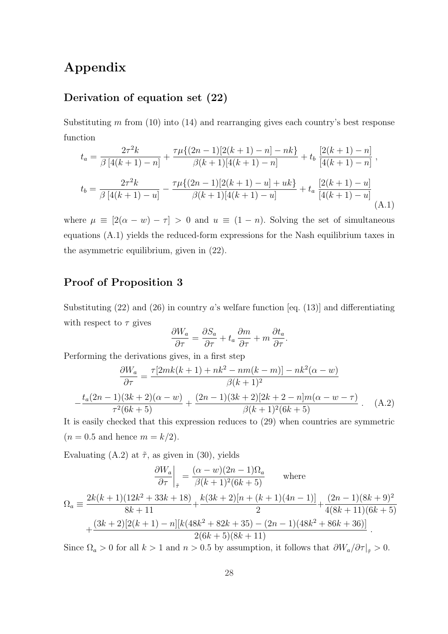## Appendix

### Derivation of equation set (22)

Substituting  $m$  from (10) into (14) and rearranging gives each country's best response function

$$
t_a = \frac{2\tau^2 k}{\beta \left[4(k+1) - n\right]} + \frac{\tau \mu \{(2n-1)[2(k+1) - n] - nk\}}{\beta(k+1)[4(k+1) - n]} + t_b \frac{\left[2(k+1) - n\right]}{\left[4(k+1) - n\right]},
$$
  

$$
t_b = \frac{2\tau^2 k}{\beta \left[4(k+1) - u\right]} - \frac{\tau \mu \{(2n-1)[2(k+1) - u] + uk\}}{\beta(k+1)[4(k+1) - u]} + t_a \frac{\left[2(k+1) - u\right]}{\left[4(k+1) - u\right]}
$$
(A.1)

where  $\mu \equiv [2(\alpha - w) - \tau] > 0$  and  $u \equiv (1 - n)$ . Solving the set of simultaneous equations (A.1) yields the reduced-form expressions for the Nash equilibrium taxes in the asymmetric equilibrium, given in (22).

## Proof of Proposition 3

Substituting  $(22)$  and  $(26)$  in country a's welfare function [eq.  $(13)$ ] and differentiating with respect to  $\tau$  gives

$$
\frac{\partial W_a}{\partial \tau} = \frac{\partial S_a}{\partial \tau} + t_a \frac{\partial m}{\partial \tau} + m \frac{\partial t_a}{\partial \tau}.
$$

Performing the derivations gives, in a first step

$$
\frac{\partial W_a}{\partial \tau} = \frac{\tau[2mk(k+1) + nk^2 - nm(k-m)] - nk^2(\alpha - w)}{\beta(k+1)^2}
$$

$$
-\frac{t_a(2n-1)(3k+2)(\alpha - w)}{\tau^2(6k+5)} + \frac{(2n-1)(3k+2)[2k+2-n]m(\alpha - w - \tau)}{\beta(k+1)^2(6k+5)}.
$$
 (A.2)

It is easily checked that this expression reduces to (29) when countries are symmetric  $(n = 0.5$  and hence  $m = k/2$ .

Evaluating (A.2) at  $\tilde{\tau}$ , as given in (30), yields

$$
\frac{\partial W_a}{\partial \tau}\Big|_{\tilde{\tau}} = \frac{(\alpha - w)(2n - 1)\Omega_a}{\beta(k + 1)^2(6k + 5)}
$$
 where  
\n
$$
\Omega_a \equiv \frac{2k(k + 1)(12k^2 + 33k + 18)}{8k + 11} + \frac{k(3k + 2)[n + (k + 1)(4n - 1)]}{2} + \frac{(2n - 1)(8k + 9)^2}{4(8k + 11)(6k + 5)}
$$
\n
$$
+ \frac{(3k + 2)[2(k + 1) - n][k(48k^2 + 82k + 35) - (2n - 1)(48k^2 + 86k + 36)]}{2(6k + 5)(8k + 11)}.
$$

Since  $\Omega_a > 0$  for all  $k > 1$  and  $n > 0.5$  by assumption, it follows that  $\partial W_a / \partial \tau |_{\tilde{\tau}} > 0$ .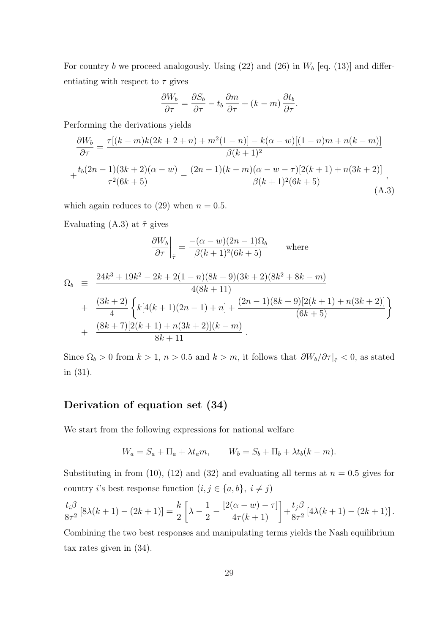For country  $b$  we proceed analogously. Using  $(22)$  and  $(26)$  in  $W_b$  [eq. (13)] and differentiating with respect to  $\tau$  gives

$$
\frac{\partial W_b}{\partial \tau} = \frac{\partial S_b}{\partial \tau} - t_b \frac{\partial m}{\partial \tau} + (k - m) \frac{\partial t_b}{\partial \tau}.
$$

Performing the derivations yields

$$
\frac{\partial W_b}{\partial \tau} = \frac{\tau[(k-m)k(2k+2+n) + m^2(1-n)] - k(\alpha - w)[(1-n)m + n(k-m)]}{\beta(k+1)^2}
$$

$$
+ \frac{t_b(2n-1)(3k+2)(\alpha - w)}{\tau^2(6k+5)} - \frac{(2n-1)(k-m)(\alpha - w - \tau)[2(k+1) + n(3k+2)]}{\beta(k+1)^2(6k+5)},
$$
(A.3)

which again reduces to (29) when  $n = 0.5$ .

Evaluating (A.3) at  $\tilde{\tau}$  gives

$$
\left. \frac{\partial W_b}{\partial \tau} \right|_{\tilde{\tau}} = \frac{- (\alpha - w)(2n - 1)\Omega_b}{\beta(k + 1)^2 (6k + 5)}
$$
 where

$$
\Omega_b = \frac{24k^3 + 19k^2 - 2k + 2(1 - n)(8k + 9)(3k + 2)(8k^2 + 8k - m)}{4(8k + 11)} \n+ \frac{(3k + 2)}{4} \left\{ k[4(k + 1)(2n - 1) + n] + \frac{(2n - 1)(8k + 9)[2(k + 1) + n(3k + 2)]}{(6k + 5)} \right\} \n+ \frac{(8k + 7)[2(k + 1) + n(3k + 2)](k - m)}{8k + 11}.
$$

Since  $\Omega_b > 0$  from  $k > 1$ ,  $n > 0.5$  and  $k > m$ , it follows that  $\frac{\partial W_b}{\partial \tau}|_{\tilde{\tau}} < 0$ , as stated in (31).

## Derivation of equation set (34)

We start from the following expressions for national welfare

$$
W_a = S_a + \Pi_a + \lambda t_a m, \qquad W_b = S_b + \Pi_b + \lambda t_b (k - m).
$$

Substituting in from (10), (12) and (32) and evaluating all terms at  $n = 0.5$  gives for country *i*'s best response function  $(i,j \in \{a,b\},\ i \neq j)$ 

$$
\frac{t_i \beta}{8\tau^2} [8\lambda(k+1) - (2k+1)] = \frac{k}{2} \left[ \lambda - \frac{1}{2} - \frac{[2(\alpha - w) - \tau]}{4\tau(k+1)} \right] + \frac{t_j \beta}{8\tau^2} [4\lambda(k+1) - (2k+1)].
$$

Combining the two best responses and manipulating terms yields the Nash equilibrium tax rates given in (34).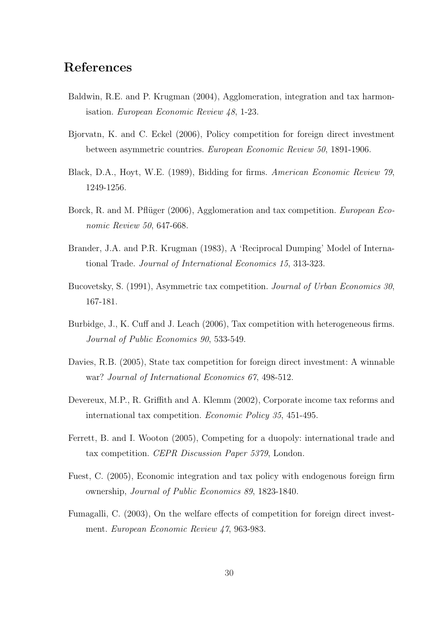## References

- Baldwin, R.E. and P. Krugman (2004), Agglomeration, integration and tax harmonisation. European Economic Review 48, 1-23.
- Bjorvatn, K. and C. Eckel (2006), Policy competition for foreign direct investment between asymmetric countries. European Economic Review 50, 1891-1906.
- Black, D.A., Hoyt, W.E. (1989), Bidding for firms. American Economic Review 79, 1249-1256.
- Borck, R. and M. Pflüger (2006), Agglomeration and tax competition. *European Eco*nomic Review 50, 647-668.
- Brander, J.A. and P.R. Krugman (1983), A 'Reciprocal Dumping' Model of International Trade. Journal of International Economics 15, 313-323.
- Bucovetsky, S. (1991), Asymmetric tax competition. Journal of Urban Economics 30, 167-181.
- Burbidge, J., K. Cuff and J. Leach (2006), Tax competition with heterogeneous firms. Journal of Public Economics 90, 533-549.
- Davies, R.B. (2005), State tax competition for foreign direct investment: A winnable war? Journal of International Economics 67, 498-512.
- Devereux, M.P., R. Griffith and A. Klemm (2002), Corporate income tax reforms and international tax competition. Economic Policy 35, 451-495.
- Ferrett, B. and I. Wooton (2005), Competing for a duopoly: international trade and tax competition. CEPR Discussion Paper 5379, London.
- Fuest, C. (2005), Economic integration and tax policy with endogenous foreign firm ownership, Journal of Public Economics 89, 1823-1840.
- Fumagalli, C. (2003), On the welfare effects of competition for foreign direct investment. European Economic Review 47, 963-983.